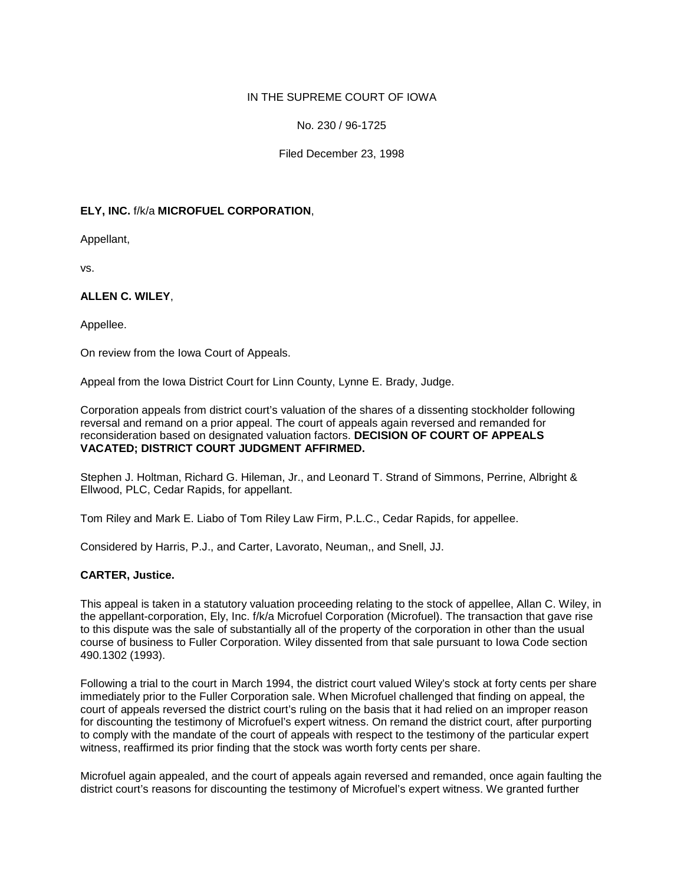## IN THE SUPREME COURT OF IOWA

# No. 230 / 96-1725

## Filed December 23, 1998

# **ELY, INC.** f/k/a **MICROFUEL CORPORATION**,

Appellant,

vs.

# **ALLEN C. WILEY**,

Appellee.

On review from the Iowa Court of Appeals.

Appeal from the Iowa District Court for Linn County, Lynne E. Brady, Judge.

Corporation appeals from district court's valuation of the shares of a dissenting stockholder following reversal and remand on a prior appeal. The court of appeals again reversed and remanded for reconsideration based on designated valuation factors. **DECISION OF COURT OF APPEALS VACATED; DISTRICT COURT JUDGMENT AFFIRMED.**

Stephen J. Holtman, Richard G. Hileman, Jr., and Leonard T. Strand of Simmons, Perrine, Albright & Ellwood, PLC, Cedar Rapids, for appellant.

Tom Riley and Mark E. Liabo of Tom Riley Law Firm, P.L.C., Cedar Rapids, for appellee.

Considered by Harris, P.J., and Carter, Lavorato, Neuman,, and Snell, JJ.

#### **CARTER, Justice.**

This appeal is taken in a statutory valuation proceeding relating to the stock of appellee, Allan C. Wiley, in the appellant-corporation, Ely, Inc. f/k/a Microfuel Corporation (Microfuel). The transaction that gave rise to this dispute was the sale of substantially all of the property of the corporation in other than the usual course of business to Fuller Corporation. Wiley dissented from that sale pursuant to Iowa Code section 490.1302 (1993).

Following a trial to the court in March 1994, the district court valued Wiley's stock at forty cents per share immediately prior to the Fuller Corporation sale. When Microfuel challenged that finding on appeal, the court of appeals reversed the district court's ruling on the basis that it had relied on an improper reason for discounting the testimony of Microfuel's expert witness. On remand the district court, after purporting to comply with the mandate of the court of appeals with respect to the testimony of the particular expert witness, reaffirmed its prior finding that the stock was worth forty cents per share.

Microfuel again appealed, and the court of appeals again reversed and remanded, once again faulting the district court's reasons for discounting the testimony of Microfuel's expert witness. We granted further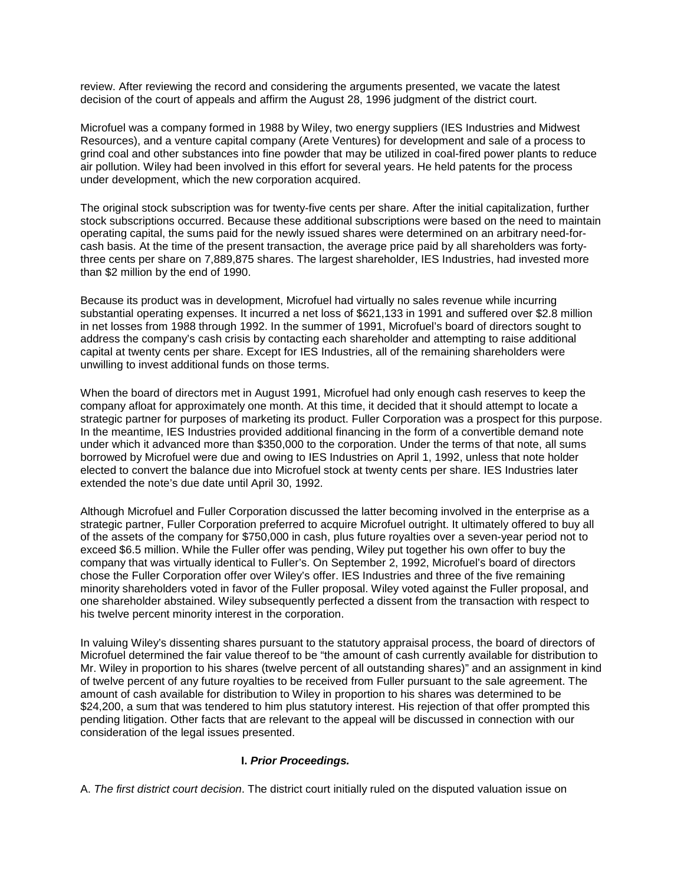review. After reviewing the record and considering the arguments presented, we vacate the latest decision of the court of appeals and affirm the August 28, 1996 judgment of the district court.

Microfuel was a company formed in 1988 by Wiley, two energy suppliers (IES Industries and Midwest Resources), and a venture capital company (Arete Ventures) for development and sale of a process to grind coal and other substances into fine powder that may be utilized in coal-fired power plants to reduce air pollution. Wiley had been involved in this effort for several years. He held patents for the process under development, which the new corporation acquired.

The original stock subscription was for twenty-five cents per share. After the initial capitalization, further stock subscriptions occurred. Because these additional subscriptions were based on the need to maintain operating capital, the sums paid for the newly issued shares were determined on an arbitrary need-forcash basis. At the time of the present transaction, the average price paid by all shareholders was fortythree cents per share on 7,889,875 shares. The largest shareholder, IES Industries, had invested more than \$2 million by the end of 1990.

Because its product was in development, Microfuel had virtually no sales revenue while incurring substantial operating expenses. It incurred a net loss of \$621,133 in 1991 and suffered over \$2.8 million in net losses from 1988 through 1992. In the summer of 1991, Microfuel's board of directors sought to address the company's cash crisis by contacting each shareholder and attempting to raise additional capital at twenty cents per share. Except for IES Industries, all of the remaining shareholders were unwilling to invest additional funds on those terms.

When the board of directors met in August 1991, Microfuel had only enough cash reserves to keep the company afloat for approximately one month. At this time, it decided that it should attempt to locate a strategic partner for purposes of marketing its product. Fuller Corporation was a prospect for this purpose. In the meantime, IES Industries provided additional financing in the form of a convertible demand note under which it advanced more than \$350,000 to the corporation. Under the terms of that note, all sums borrowed by Microfuel were due and owing to IES Industries on April 1, 1992, unless that note holder elected to convert the balance due into Microfuel stock at twenty cents per share. IES Industries later extended the note's due date until April 30, 1992.

Although Microfuel and Fuller Corporation discussed the latter becoming involved in the enterprise as a strategic partner, Fuller Corporation preferred to acquire Microfuel outright. It ultimately offered to buy all of the assets of the company for \$750,000 in cash, plus future royalties over a seven-year period not to exceed \$6.5 million. While the Fuller offer was pending, Wiley put together his own offer to buy the company that was virtually identical to Fuller's. On September 2, 1992, Microfuel's board of directors chose the Fuller Corporation offer over Wiley's offer. IES Industries and three of the five remaining minority shareholders voted in favor of the Fuller proposal. Wiley voted against the Fuller proposal, and one shareholder abstained. Wiley subsequently perfected a dissent from the transaction with respect to his twelve percent minority interest in the corporation.

In valuing Wiley's dissenting shares pursuant to the statutory appraisal process, the board of directors of Microfuel determined the fair value thereof to be "the amount of cash currently available for distribution to Mr. Wiley in proportion to his shares (twelve percent of all outstanding shares)" and an assignment in kind of twelve percent of any future royalties to be received from Fuller pursuant to the sale agreement. The amount of cash available for distribution to Wiley in proportion to his shares was determined to be \$24,200, a sum that was tendered to him plus statutory interest. His rejection of that offer prompted this pending litigation. Other facts that are relevant to the appeal will be discussed in connection with our consideration of the legal issues presented.

#### **I.** *Prior Proceedings.*

A. *The first district court decision*. The district court initially ruled on the disputed valuation issue on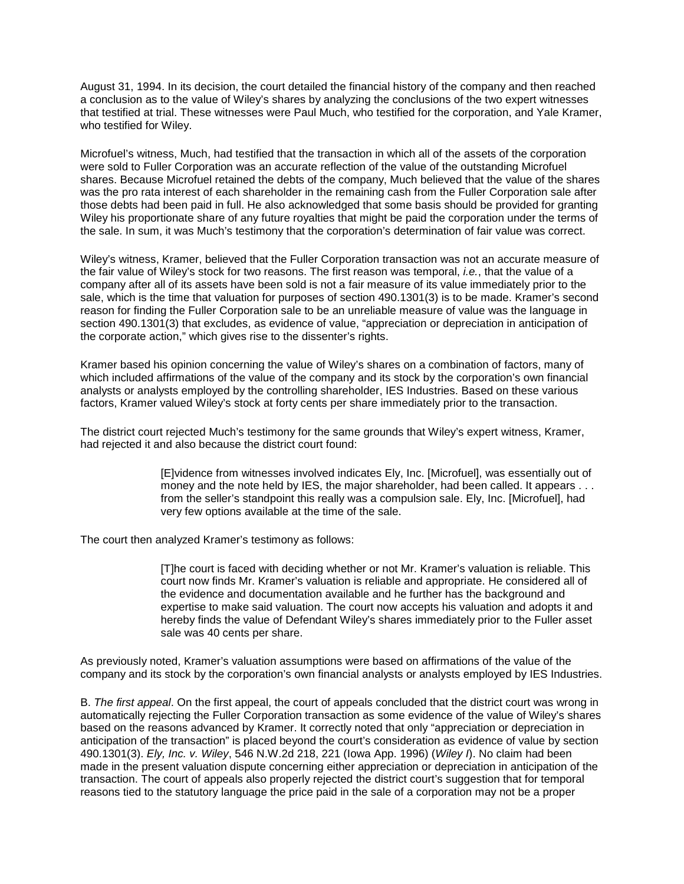August 31, 1994. In its decision, the court detailed the financial history of the company and then reached a conclusion as to the value of Wiley's shares by analyzing the conclusions of the two expert witnesses that testified at trial. These witnesses were Paul Much, who testified for the corporation, and Yale Kramer, who testified for Wiley.

Microfuel's witness, Much, had testified that the transaction in which all of the assets of the corporation were sold to Fuller Corporation was an accurate reflection of the value of the outstanding Microfuel shares. Because Microfuel retained the debts of the company, Much believed that the value of the shares was the pro rata interest of each shareholder in the remaining cash from the Fuller Corporation sale after those debts had been paid in full. He also acknowledged that some basis should be provided for granting Wiley his proportionate share of any future royalties that might be paid the corporation under the terms of the sale. In sum, it was Much's testimony that the corporation's determination of fair value was correct.

Wiley's witness, Kramer, believed that the Fuller Corporation transaction was not an accurate measure of the fair value of Wiley's stock for two reasons. The first reason was temporal, *i.e.*, that the value of a company after all of its assets have been sold is not a fair measure of its value immediately prior to the sale, which is the time that valuation for purposes of section 490.1301(3) is to be made. Kramer's second reason for finding the Fuller Corporation sale to be an unreliable measure of value was the language in section 490.1301(3) that excludes, as evidence of value, "appreciation or depreciation in anticipation of the corporate action," which gives rise to the dissenter's rights.

Kramer based his opinion concerning the value of Wiley's shares on a combination of factors, many of which included affirmations of the value of the company and its stock by the corporation's own financial analysts or analysts employed by the controlling shareholder, IES Industries. Based on these various factors, Kramer valued Wiley's stock at forty cents per share immediately prior to the transaction.

The district court rejected Much's testimony for the same grounds that Wiley's expert witness, Kramer, had rejected it and also because the district court found:

> [E]vidence from witnesses involved indicates Ely, Inc. [Microfuel], was essentially out of money and the note held by IES, the major shareholder, had been called. It appears . . . from the seller's standpoint this really was a compulsion sale. Ely, Inc. [Microfuel], had very few options available at the time of the sale.

The court then analyzed Kramer's testimony as follows:

[T]he court is faced with deciding whether or not Mr. Kramer's valuation is reliable. This court now finds Mr. Kramer's valuation is reliable and appropriate. He considered all of the evidence and documentation available and he further has the background and expertise to make said valuation. The court now accepts his valuation and adopts it and hereby finds the value of Defendant Wiley's shares immediately prior to the Fuller asset sale was 40 cents per share.

As previously noted, Kramer's valuation assumptions were based on affirmations of the value of the company and its stock by the corporation's own financial analysts or analysts employed by IES Industries.

B. *The first appeal*. On the first appeal, the court of appeals concluded that the district court was wrong in automatically rejecting the Fuller Corporation transaction as some evidence of the value of Wiley's shares based on the reasons advanced by Kramer. It correctly noted that only "appreciation or depreciation in anticipation of the transaction" is placed beyond the court's consideration as evidence of value by section 490.1301(3). *Ely, Inc. v. Wiley*, 546 N.W.2d 218, 221 (Iowa App. 1996) (*Wiley I*). No claim had been made in the present valuation dispute concerning either appreciation or depreciation in anticipation of the transaction. The court of appeals also properly rejected the district court's suggestion that for temporal reasons tied to the statutory language the price paid in the sale of a corporation may not be a proper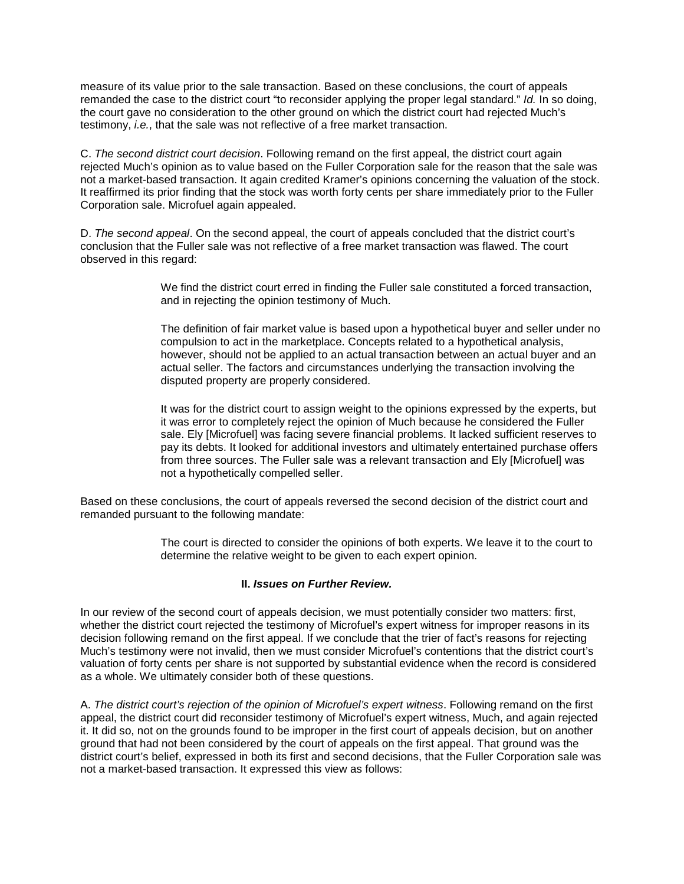measure of its value prior to the sale transaction. Based on these conclusions, the court of appeals remanded the case to the district court "to reconsider applying the proper legal standard." *Id.* In so doing, the court gave no consideration to the other ground on which the district court had rejected Much's testimony, *i.e.*, that the sale was not reflective of a free market transaction.

C. *The second district court decision*. Following remand on the first appeal, the district court again rejected Much's opinion as to value based on the Fuller Corporation sale for the reason that the sale was not a market-based transaction. It again credited Kramer's opinions concerning the valuation of the stock. It reaffirmed its prior finding that the stock was worth forty cents per share immediately prior to the Fuller Corporation sale. Microfuel again appealed.

D. *The second appeal*. On the second appeal, the court of appeals concluded that the district court's conclusion that the Fuller sale was not reflective of a free market transaction was flawed. The court observed in this regard:

> We find the district court erred in finding the Fuller sale constituted a forced transaction, and in rejecting the opinion testimony of Much.

The definition of fair market value is based upon a hypothetical buyer and seller under no compulsion to act in the marketplace. Concepts related to a hypothetical analysis, however, should not be applied to an actual transaction between an actual buyer and an actual seller. The factors and circumstances underlying the transaction involving the disputed property are properly considered.

It was for the district court to assign weight to the opinions expressed by the experts, but it was error to completely reject the opinion of Much because he considered the Fuller sale. Ely [Microfuel] was facing severe financial problems. It lacked sufficient reserves to pay its debts. It looked for additional investors and ultimately entertained purchase offers from three sources. The Fuller sale was a relevant transaction and Ely [Microfuel] was not a hypothetically compelled seller.

Based on these conclusions, the court of appeals reversed the second decision of the district court and remanded pursuant to the following mandate:

> The court is directed to consider the opinions of both experts. We leave it to the court to determine the relative weight to be given to each expert opinion.

#### **II.** *Issues on Further Review.*

In our review of the second court of appeals decision, we must potentially consider two matters: first, whether the district court rejected the testimony of Microfuel's expert witness for improper reasons in its decision following remand on the first appeal. If we conclude that the trier of fact's reasons for rejecting Much's testimony were not invalid, then we must consider Microfuel's contentions that the district court's valuation of forty cents per share is not supported by substantial evidence when the record is considered as a whole. We ultimately consider both of these questions.

A. *The district court's rejection of the opinion of Microfuel's expert witness*. Following remand on the first appeal, the district court did reconsider testimony of Microfuel's expert witness, Much, and again rejected it. It did so, not on the grounds found to be improper in the first court of appeals decision, but on another ground that had not been considered by the court of appeals on the first appeal. That ground was the district court's belief, expressed in both its first and second decisions, that the Fuller Corporation sale was not a market-based transaction. It expressed this view as follows: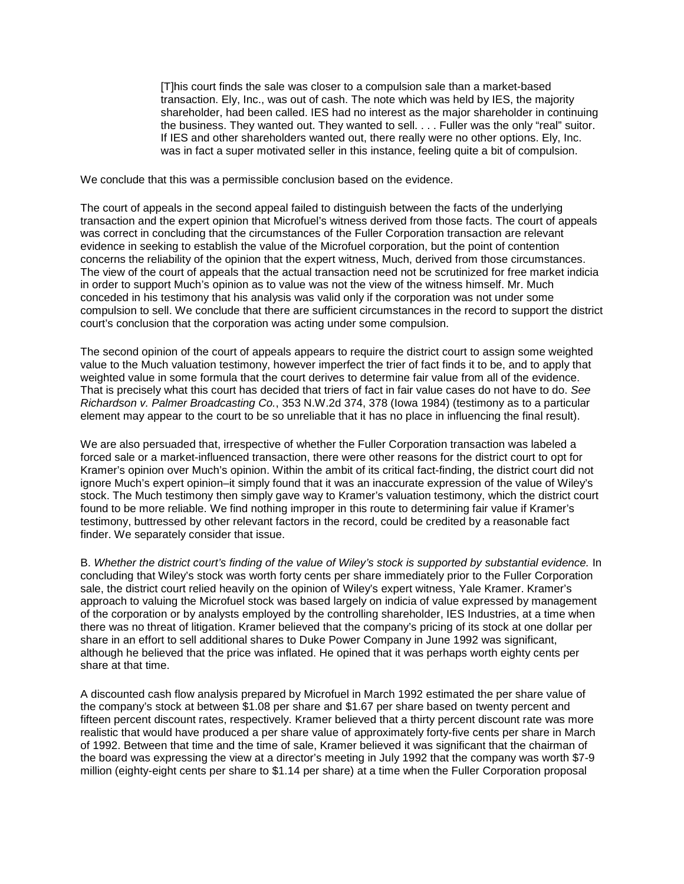[T]his court finds the sale was closer to a compulsion sale than a market-based transaction. Ely, Inc., was out of cash. The note which was held by IES, the majority shareholder, had been called. IES had no interest as the major shareholder in continuing the business. They wanted out. They wanted to sell. . . . Fuller was the only "real" suitor. If IES and other shareholders wanted out, there really were no other options. Ely, Inc. was in fact a super motivated seller in this instance, feeling quite a bit of compulsion.

We conclude that this was a permissible conclusion based on the evidence.

The court of appeals in the second appeal failed to distinguish between the facts of the underlying transaction and the expert opinion that Microfuel's witness derived from those facts. The court of appeals was correct in concluding that the circumstances of the Fuller Corporation transaction are relevant evidence in seeking to establish the value of the Microfuel corporation, but the point of contention concerns the reliability of the opinion that the expert witness, Much, derived from those circumstances. The view of the court of appeals that the actual transaction need not be scrutinized for free market indicia in order to support Much's opinion as to value was not the view of the witness himself. Mr. Much conceded in his testimony that his analysis was valid only if the corporation was not under some compulsion to sell. We conclude that there are sufficient circumstances in the record to support the district court's conclusion that the corporation was acting under some compulsion.

The second opinion of the court of appeals appears to require the district court to assign some weighted value to the Much valuation testimony, however imperfect the trier of fact finds it to be, and to apply that weighted value in some formula that the court derives to determine fair value from all of the evidence. That is precisely what this court has decided that triers of fact in fair value cases do not have to do. *See Richardson v. Palmer Broadcasting Co.*, 353 N.W.2d 374, 378 (Iowa 1984) (testimony as to a particular element may appear to the court to be so unreliable that it has no place in influencing the final result).

We are also persuaded that, irrespective of whether the Fuller Corporation transaction was labeled a forced sale or a market-influenced transaction, there were other reasons for the district court to opt for Kramer's opinion over Much's opinion. Within the ambit of its critical fact-finding, the district court did not ignore Much's expert opinion–it simply found that it was an inaccurate expression of the value of Wiley's stock. The Much testimony then simply gave way to Kramer's valuation testimony, which the district court found to be more reliable. We find nothing improper in this route to determining fair value if Kramer's testimony, buttressed by other relevant factors in the record, could be credited by a reasonable fact finder. We separately consider that issue.

B. *Whether the district court's finding of the value of Wiley's stock is supported by substantial evidence.* In concluding that Wiley's stock was worth forty cents per share immediately prior to the Fuller Corporation sale, the district court relied heavily on the opinion of Wiley's expert witness, Yale Kramer. Kramer's approach to valuing the Microfuel stock was based largely on indicia of value expressed by management of the corporation or by analysts employed by the controlling shareholder, IES Industries, at a time when there was no threat of litigation. Kramer believed that the company's pricing of its stock at one dollar per share in an effort to sell additional shares to Duke Power Company in June 1992 was significant, although he believed that the price was inflated. He opined that it was perhaps worth eighty cents per share at that time.

A discounted cash flow analysis prepared by Microfuel in March 1992 estimated the per share value of the company's stock at between \$1.08 per share and \$1.67 per share based on twenty percent and fifteen percent discount rates, respectively. Kramer believed that a thirty percent discount rate was more realistic that would have produced a per share value of approximately forty-five cents per share in March of 1992. Between that time and the time of sale, Kramer believed it was significant that the chairman of the board was expressing the view at a director's meeting in July 1992 that the company was worth \$7-9 million (eighty-eight cents per share to \$1.14 per share) at a time when the Fuller Corporation proposal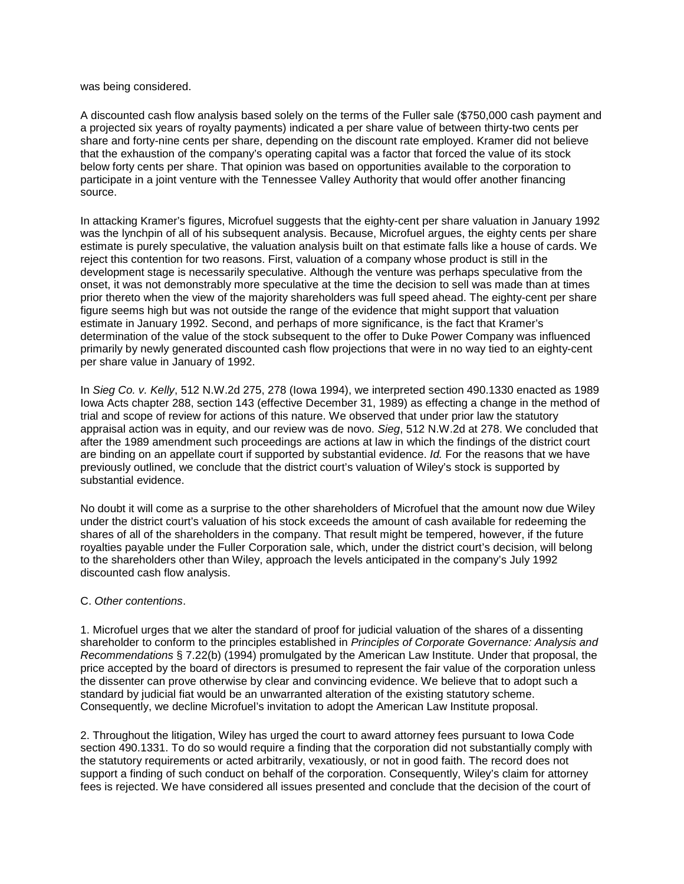was being considered.

A discounted cash flow analysis based solely on the terms of the Fuller sale (\$750,000 cash payment and a projected six years of royalty payments) indicated a per share value of between thirty-two cents per share and forty-nine cents per share, depending on the discount rate employed. Kramer did not believe that the exhaustion of the company's operating capital was a factor that forced the value of its stock below forty cents per share. That opinion was based on opportunities available to the corporation to participate in a joint venture with the Tennessee Valley Authority that would offer another financing source.

In attacking Kramer's figures, Microfuel suggests that the eighty-cent per share valuation in January 1992 was the lynchpin of all of his subsequent analysis. Because, Microfuel argues, the eighty cents per share estimate is purely speculative, the valuation analysis built on that estimate falls like a house of cards. We reject this contention for two reasons. First, valuation of a company whose product is still in the development stage is necessarily speculative. Although the venture was perhaps speculative from the onset, it was not demonstrably more speculative at the time the decision to sell was made than at times prior thereto when the view of the majority shareholders was full speed ahead. The eighty-cent per share figure seems high but was not outside the range of the evidence that might support that valuation estimate in January 1992. Second, and perhaps of more significance, is the fact that Kramer's determination of the value of the stock subsequent to the offer to Duke Power Company was influenced primarily by newly generated discounted cash flow projections that were in no way tied to an eighty-cent per share value in January of 1992.

In *Sieg Co. v. Kelly*, 512 N.W.2d 275, 278 (Iowa 1994), we interpreted section 490.1330 enacted as 1989 Iowa Acts chapter 288, section 143 (effective December 31, 1989) as effecting a change in the method of trial and scope of review for actions of this nature. We observed that under prior law the statutory appraisal action was in equity, and our review was de novo. *Sieg*, 512 N.W.2d at 278. We concluded that after the 1989 amendment such proceedings are actions at law in which the findings of the district court are binding on an appellate court if supported by substantial evidence. *Id.* For the reasons that we have previously outlined, we conclude that the district court's valuation of Wiley's stock is supported by substantial evidence.

No doubt it will come as a surprise to the other shareholders of Microfuel that the amount now due Wiley under the district court's valuation of his stock exceeds the amount of cash available for redeeming the shares of all of the shareholders in the company. That result might be tempered, however, if the future royalties payable under the Fuller Corporation sale, which, under the district court's decision, will belong to the shareholders other than Wiley, approach the levels anticipated in the company's July 1992 discounted cash flow analysis.

#### C. *Other contentions*.

1. Microfuel urges that we alter the standard of proof for judicial valuation of the shares of a dissenting shareholder to conform to the principles established in *Principles of Corporate Governance: Analysis and Recommendations* § 7.22(b) (1994) promulgated by the American Law Institute. Under that proposal, the price accepted by the board of directors is presumed to represent the fair value of the corporation unless the dissenter can prove otherwise by clear and convincing evidence. We believe that to adopt such a standard by judicial fiat would be an unwarranted alteration of the existing statutory scheme. Consequently, we decline Microfuel's invitation to adopt the American Law Institute proposal.

2. Throughout the litigation, Wiley has urged the court to award attorney fees pursuant to Iowa Code section 490.1331. To do so would require a finding that the corporation did not substantially comply with the statutory requirements or acted arbitrarily, vexatiously, or not in good faith. The record does not support a finding of such conduct on behalf of the corporation. Consequently, Wiley's claim for attorney fees is rejected. We have considered all issues presented and conclude that the decision of the court of